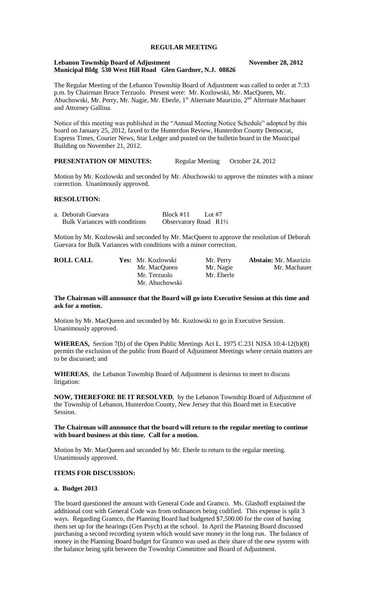# **REGULAR MEETING**

#### **Lebanon Township Board of Adjustment November 28, 2012 Municipal Bldg 530 West Hill Road Glen Gardner, N.J. 08826**

The Regular Meeting of the Lebanon Township Board of Adjustment was called to order at 7:33 p.m. by Chairman Bruce Terzuolo. Present were: Mr. Kozlowski, Mr. MacQueen, Mr. Abuchowski, Mr. Perry, Mr. Nagie, Mr. Eberle, 1<sup>st</sup> Alternate Maurizio, 2<sup>nd</sup> Alternate Machauer and Attorney Gallina.

Notice of this meeting was published in the "Annual Meeting Notice Schedule" adopted by this board on January 25, 2012, faxed to the Hunterdon Review, Hunterdon County Democrat, Express Times, Courier News, Star Ledger and posted on the bulletin board in the Municipal Building on November 21, 2012.

# **PRESENTATION OF MINUTES:** Regular Meeting October 24, 2012

Motion by Mr. Kozlowski and seconded by Mr. Abuchowski to approve the minutes with a minor correction. Unanimously approved.

### **RESOLUTION:**

| a. Deborah Guevara                    | Block #11                        | Lot #7 |  |
|---------------------------------------|----------------------------------|--------|--|
| <b>Bulk Variances with conditions</b> | Observatory Road $R1\frac{1}{2}$ |        |  |

Motion by Mr. Kozlowski and seconded by Mr. MacQueen to approve the resolution of Deborah Guevara for Bulk Variances with conditions with a minor correction.

| <b>ROLL CALL</b> | Yes: Mr. Kozlowski | Mr. Perry  | <b>Abstain:</b> Mr. Maurizio |
|------------------|--------------------|------------|------------------------------|
|                  | Mr. MacQueen       | Mr. Nagie  | Mr. Machauer                 |
|                  | Mr. Terzuolo       | Mr. Eberle |                              |
|                  | Mr. Abuchowski     |            |                              |

#### **The Chairman will announce that the Board will go into Executive Session at this time and ask for a motion.**

Motion by Mr. MacQueen and seconded by Mr. Kozlowski to go in Executive Session. Unanimously approved.

**WHEREAS,** Section 7(b) of the Open Public Meetings Act L. 1975 C.231 NJSA 10:4-12(b)(8) permits the exclusion of the public from Board of Adjustment Meetings where certain matters are to be discussed; and

**WHEREAS**, the Lebanon Township Board of Adjustment is desirous to meet to discuss litigation:

**NOW, THEREFORE BE IT RESOLVED**, by the Lebanon Township Board of Adjustment of the Township of Lebanon, Hunterdon County, New Jersey that this Board met in Executive Session.

### **The Chairman will announce that the board will return to the regular meeting to continue with board business at this time. Call for a motion.**

Motion by Mr. MacQueen and seconded by Mr. Eberle to return to the regular meeting. Unanimously approved.

## **ITEMS FOR DISCUSSION:**

#### **a. Budget 2013**

The board questioned the amount with General Code and Gramco. Ms. Glashoff explained the additional cost with General Code was from ordinances being codified. This expense is split 3 ways. Regarding Gramco, the Planning Board had budgeted \$7,500.00 for the cost of having them set up for the hearings (Gen Psych) at the school. In April the Planning Board discussed purchasing a second recording system which would save money in the long run. The balance of money in the Planning Board budget for Gramco was used as their share of the new system with the balance being split between the Township Committee and Board of Adjustment.